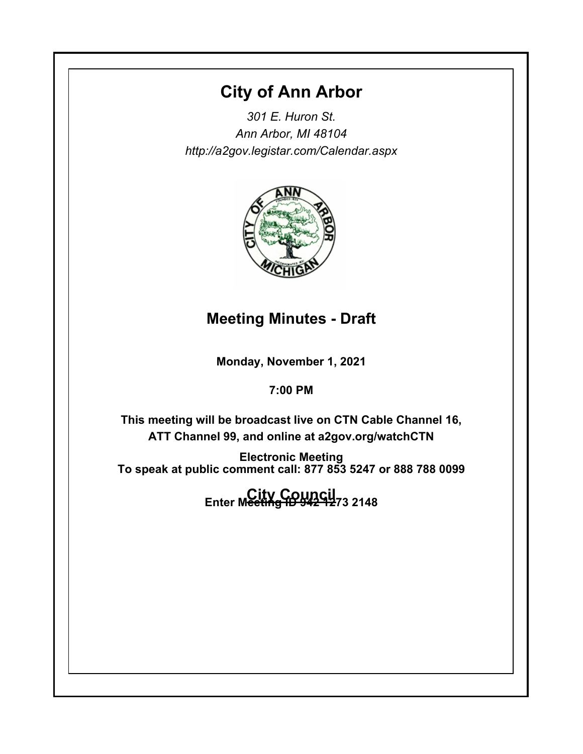# **City of Ann Arbor**

*301 E. Huron St. Ann Arbor, MI 48104 http://a2gov.legistar.com/Calendar.aspx*



# **Meeting Minutes - Draft**

**Monday, November 1, 2021**

**7:00 PM**

**This meeting will be broadcast live on CTN Cable Channel 16, ATT Channel 99, and online at a2gov.org/watchCTN** 

**Electronic Meeting To speak at public comment call: 877 853 5247 or 888 788 0099** 

**City Council Enter Meeting ID 942 1273 2148**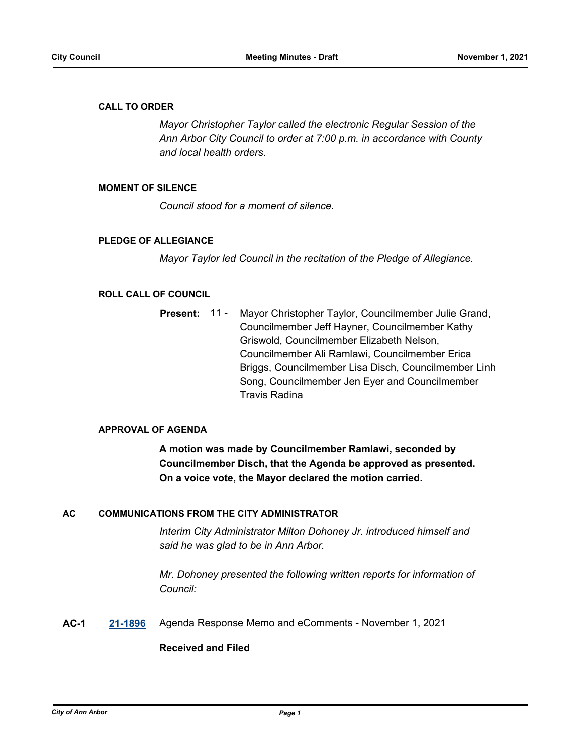## **CALL TO ORDER**

*Mayor Christopher Taylor called the electronic Regular Session of the Ann Arbor City Council to order at 7:00 p.m. in accordance with County and local health orders.*

## **MOMENT OF SILENCE**

*Council stood for a moment of silence.*

## **PLEDGE OF ALLEGIANCE**

*Mayor Taylor led Council in the recitation of the Pledge of Allegiance.*

## **ROLL CALL OF COUNCIL**

Mayor Christopher Taylor, Councilmember Julie Grand, Councilmember Jeff Hayner, Councilmember Kathy Griswold, Councilmember Elizabeth Nelson, Councilmember Ali Ramlawi, Councilmember Erica Briggs, Councilmember Lisa Disch, Councilmember Linh Song, Councilmember Jen Eyer and Councilmember Travis Radina **Present:** 11 -

### **APPROVAL OF AGENDA**

**A motion was made by Councilmember Ramlawi, seconded by Councilmember Disch, that the Agenda be approved as presented. On a voice vote, the Mayor declared the motion carried.**

## **AC COMMUNICATIONS FROM THE CITY ADMINISTRATOR**

*Interim City Administrator Milton Dohoney Jr. introduced himself and said he was glad to be in Ann Arbor.*

*Mr. Dohoney presented the following written reports for information of Council:*

**AC-1 [21-1896](http://a2gov.legistar.com/gateway.aspx?M=L&ID=28821)** Agenda Response Memo and eComments - November 1, 2021

## **Received and Filed**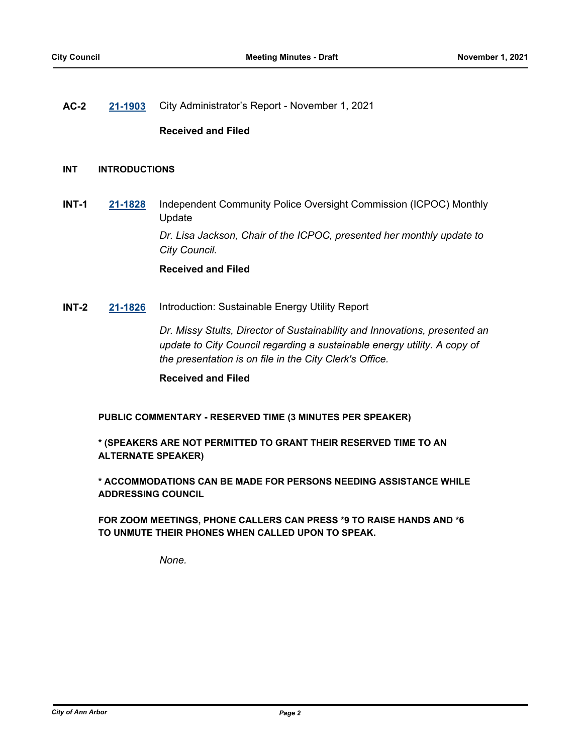## **AC-2 [21-1903](http://a2gov.legistar.com/gateway.aspx?M=L&ID=28828)** City Administrator's Report - November 1, 2021

## **Received and Filed**

## **INT INTRODUCTIONS**

**INT-1 [21-1828](http://a2gov.legistar.com/gateway.aspx?M=L&ID=28754)** Independent Community Police Oversight Commission (ICPOC) Monthly Update

*Dr. Lisa Jackson, Chair of the ICPOC, presented her monthly update to City Council.*

## **Received and Filed**

**INT-2 [21-1826](http://a2gov.legistar.com/gateway.aspx?M=L&ID=28752)** Introduction: Sustainable Energy Utility Report

*Dr. Missy Stults, Director of Sustainability and Innovations, presented an update to City Council regarding a sustainable energy utility. A copy of the presentation is on file in the City Clerk's Office.*

**Received and Filed**

**PUBLIC COMMENTARY - RESERVED TIME (3 MINUTES PER SPEAKER)**

**\* (SPEAKERS ARE NOT PERMITTED TO GRANT THEIR RESERVED TIME TO AN ALTERNATE SPEAKER)**

**\* ACCOMMODATIONS CAN BE MADE FOR PERSONS NEEDING ASSISTANCE WHILE ADDRESSING COUNCIL**

**FOR ZOOM MEETINGS, PHONE CALLERS CAN PRESS \*9 TO RAISE HANDS AND \*6 TO UNMUTE THEIR PHONES WHEN CALLED UPON TO SPEAK.**

*None.*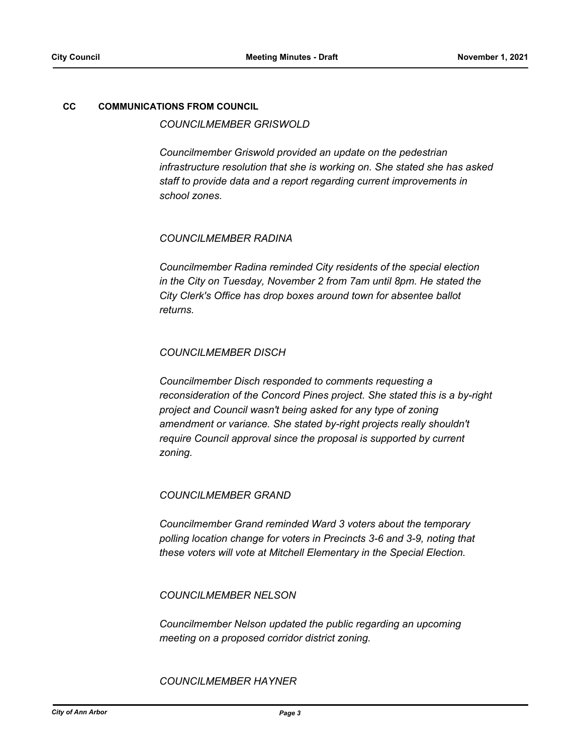## **CC COMMUNICATIONS FROM COUNCIL**

## *COUNCILMEMBER GRISWOLD*

*Councilmember Griswold provided an update on the pedestrian infrastructure resolution that she is working on. She stated she has asked staff to provide data and a report regarding current improvements in school zones.*

## *COUNCILMEMBER RADINA*

*Councilmember Radina reminded City residents of the special election in the City on Tuesday, November 2 from 7am until 8pm. He stated the City Clerk's Office has drop boxes around town for absentee ballot returns.*

## *COUNCILMEMBER DISCH*

*Councilmember Disch responded to comments requesting a reconsideration of the Concord Pines project. She stated this is a by-right project and Council wasn't being asked for any type of zoning amendment or variance. She stated by-right projects really shouldn't require Council approval since the proposal is supported by current zoning.*

### *COUNCILMEMBER GRAND*

*Councilmember Grand reminded Ward 3 voters about the temporary polling location change for voters in Precincts 3-6 and 3-9, noting that these voters will vote at Mitchell Elementary in the Special Election.*

*COUNCILMEMBER NELSON*

*Councilmember Nelson updated the public regarding an upcoming meeting on a proposed corridor district zoning.*

*COUNCILMEMBER HAYNER*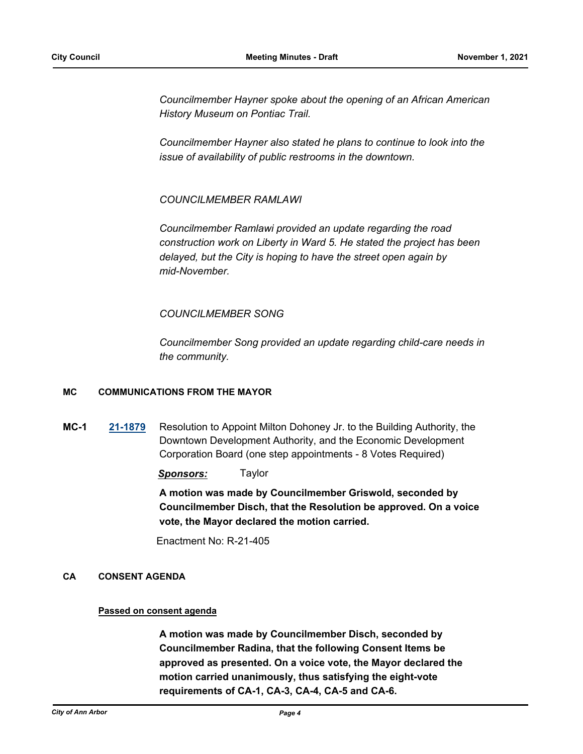*Councilmember Hayner spoke about the opening of an African American History Museum on Pontiac Trail.* 

*Councilmember Hayner also stated he plans to continue to look into the issue of availability of public restrooms in the downtown.*

*COUNCILMEMBER RAMLAWI*

*Councilmember Ramlawi provided an update regarding the road construction work on Liberty in Ward 5. He stated the project has been delayed, but the City is hoping to have the street open again by mid-November.*

## *COUNCILMEMBER SONG*

*Councilmember Song provided an update regarding child-care needs in the community.*

## **MC COMMUNICATIONS FROM THE MAYOR**

**MC-1 [21-1879](http://a2gov.legistar.com/gateway.aspx?M=L&ID=28805)** Resolution to Appoint Milton Dohoney Jr. to the Building Authority, the Downtown Development Authority, and the Economic Development Corporation Board (one step appointments - 8 Votes Required)

*Sponsors:* Taylor

**A motion was made by Councilmember Griswold, seconded by Councilmember Disch, that the Resolution be approved. On a voice vote, the Mayor declared the motion carried.**

Enactment No: R-21-405

## **CA CONSENT AGENDA**

### **Passed on consent agenda**

**A motion was made by Councilmember Disch, seconded by Councilmember Radina, that the following Consent Items be approved as presented. On a voice vote, the Mayor declared the motion carried unanimously, thus satisfying the eight-vote requirements of CA-1, CA-3, CA-4, CA-5 and CA-6.**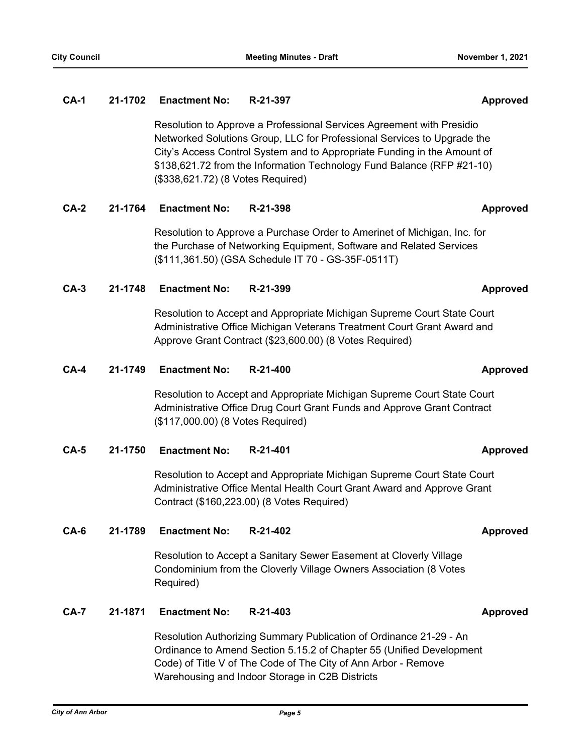Resolution to Approve a Professional Services Agreement with Presidio Networked Solutions Group, LLC for Professional Services to Upgrade the City's Access Control System and to Appropriate Funding in the Amount of \$138,621.72 from the Information Technology Fund Balance (RFP #21-10) (\$338,621.72) (8 Votes Required)

## **CA-2 21-1764 Enactment No: R-21-398 Approved**

Resolution to Approve a Purchase Order to Amerinet of Michigan, Inc. for the Purchase of Networking Equipment, Software and Related Services (\$111,361.50) (GSA Schedule IT 70 - GS-35F-0511T)

## **CA-3 21-1748 Enactment No: R-21-399 Approved**

Resolution to Accept and Appropriate Michigan Supreme Court State Court Administrative Office Michigan Veterans Treatment Court Grant Award and Approve Grant Contract (\$23,600.00) (8 Votes Required)

## **CA-4 21-1749 Enactment No: R-21-400 Approved**

Resolution to Accept and Appropriate Michigan Supreme Court State Court Administrative Office Drug Court Grant Funds and Approve Grant Contract (\$117,000.00) (8 Votes Required)

**CA-5 21-1750 Enactment No: R-21-401 Approved**

Resolution to Accept and Appropriate Michigan Supreme Court State Court Administrative Office Mental Health Court Grant Award and Approve Grant Contract (\$160,223.00) (8 Votes Required)

## **CA-6 21-1789 Enactment No: R-21-402 Approved**

Resolution to Accept a Sanitary Sewer Easement at Cloverly Village Condominium from the Cloverly Village Owners Association (8 Votes Required)

## **CA-7 21-1871 Enactment No: R-21-403 Approved**

Resolution Authorizing Summary Publication of Ordinance 21-29 - An Ordinance to Amend Section 5.15.2 of Chapter 55 (Unified Development Code) of Title V of The Code of The City of Ann Arbor - Remove Warehousing and Indoor Storage in C2B Districts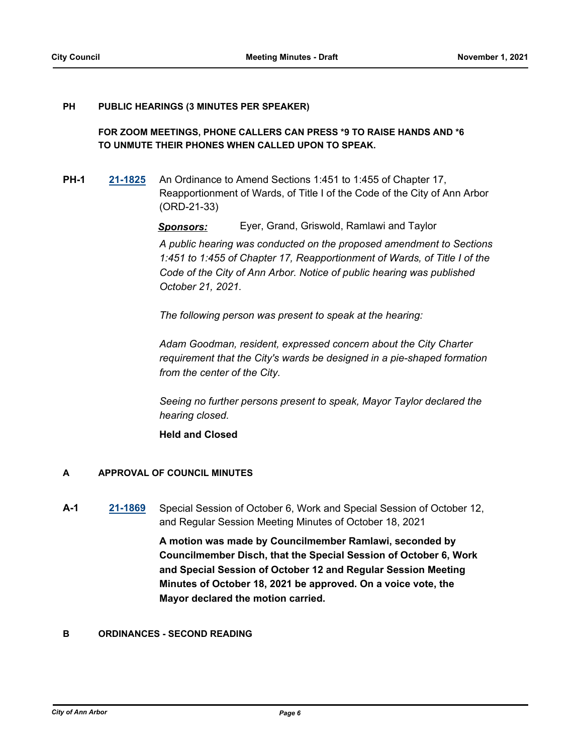#### **PUBLIC HEARINGS (3 MINUTES PER SPEAKER) PH**

## **FOR ZOOM MEETINGS, PHONE CALLERS CAN PRESS \*9 TO RAISE HANDS AND \*6 TO UNMUTE THEIR PHONES WHEN CALLED UPON TO SPEAK.**

**PH-1 [21-1825](http://a2gov.legistar.com/gateway.aspx?M=L&ID=28751)** An Ordinance to Amend Sections 1:451 to 1:455 of Chapter 17, Reapportionment of Wards, of Title I of the Code of the City of Ann Arbor (ORD-21-33)

*Sponsors:* Eyer, Grand, Griswold, Ramlawi and Taylor

*A public hearing was conducted on the proposed amendment to Sections 1:451 to 1:455 of Chapter 17, Reapportionment of Wards, of Title I of the Code of the City of Ann Arbor. Notice of public hearing was published October 21, 2021.*

*The following person was present to speak at the hearing:*

*Adam Goodman, resident, expressed concern about the City Charter requirement that the City's wards be designed in a pie-shaped formation from the center of the City.*

*Seeing no further persons present to speak, Mayor Taylor declared the hearing closed.*

**Held and Closed**

## **A APPROVAL OF COUNCIL MINUTES**

**A-1 [21-1869](http://a2gov.legistar.com/gateway.aspx?M=L&ID=28795)** Special Session of October 6, Work and Special Session of October 12, and Regular Session Meeting Minutes of October 18, 2021

> **A motion was made by Councilmember Ramlawi, seconded by Councilmember Disch, that the Special Session of October 6, Work and Special Session of October 12 and Regular Session Meeting Minutes of October 18, 2021 be approved. On a voice vote, the Mayor declared the motion carried.**

## **B ORDINANCES - SECOND READING**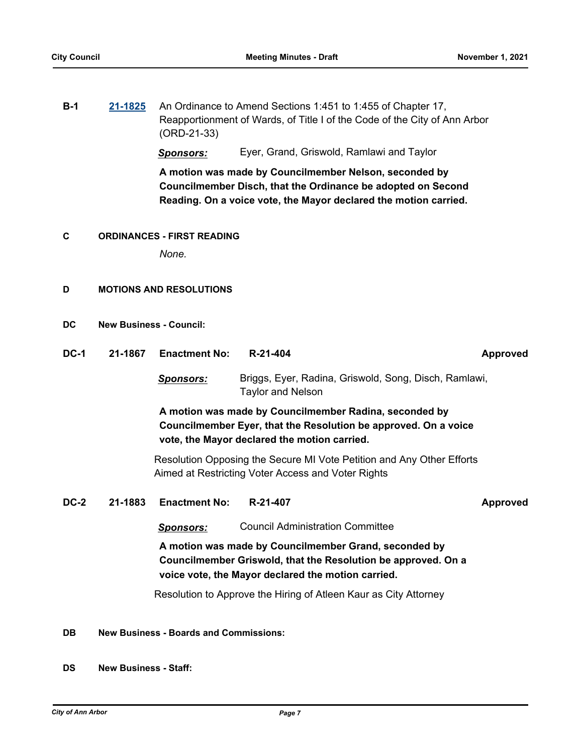| $B-1$ | 21-1825 An Ordinance to Amend Sections 1:451 to 1:455 of Chapter 17,      |
|-------|---------------------------------------------------------------------------|
|       | Reapportionment of Wards, of Title I of the Code of the City of Ann Arbor |
|       | $(ORD-21-33)$                                                             |

*Sponsors:* Eyer, Grand, Griswold, Ramlawi and Taylor

**A motion was made by Councilmember Nelson, seconded by Councilmember Disch, that the Ordinance be adopted on Second Reading. On a voice vote, the Mayor declared the motion carried.**

### **C ORDINANCES - FIRST READING**

*None.*

## **D MOTIONS AND RESOLUTIONS**

| <b>DC</b> | <b>New Business - Council:</b> |  |
|-----------|--------------------------------|--|
|           |                                |  |

**DC-1 21-1867 Enactment No: R-21-404 Approved** *Sponsors:* Briggs, Eyer, Radina, Griswold, Song, Disch, Ramlawi, Taylor and Nelson **A motion was made by Councilmember Radina, seconded by Councilmember Eyer, that the Resolution be approved. On a voice vote, the Mayor declared the motion carried.**

> Resolution Opposing the Secure MI Vote Petition and Any Other Efforts Aimed at Restricting Voter Access and Voter Rights

**DC-2 21-1883 Enactment No: R-21-407 Approved**

*Sponsors:* Council Administration Committee

**A motion was made by Councilmember Grand, seconded by Councilmember Griswold, that the Resolution be approved. On a voice vote, the Mayor declared the motion carried.**

Resolution to Approve the Hiring of Atleen Kaur as City Attorney

### **DB New Business - Boards and Commissions:**

**DS New Business - Staff:**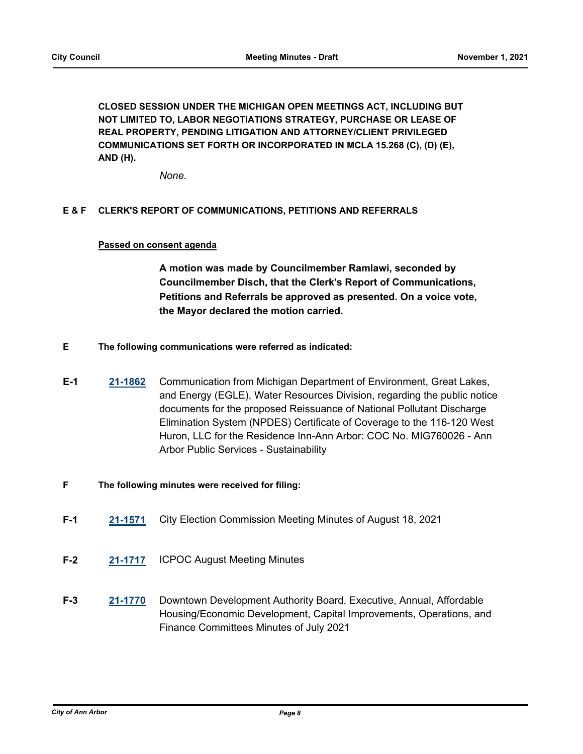**CLOSED SESSION UNDER THE MICHIGAN OPEN MEETINGS ACT, INCLUDING BUT NOT LIMITED TO, LABOR NEGOTIATIONS STRATEGY, PURCHASE OR LEASE OF REAL PROPERTY, PENDING LITIGATION AND ATTORNEY/CLIENT PRIVILEGED COMMUNICATIONS SET FORTH OR INCORPORATED IN MCLA 15.268 (C), (D) (E), AND (H).**

*None.*

## **E & F CLERK'S REPORT OF COMMUNICATIONS, PETITIONS AND REFERRALS**

## **Passed on consent agenda**

**A motion was made by Councilmember Ramlawi, seconded by Councilmember Disch, that the Clerk's Report of Communications, Petitions and Referrals be approved as presented. On a voice vote, the Mayor declared the motion carried.**

- **E The following communications were referred as indicated:**
- **E-1 [21-1862](http://a2gov.legistar.com/gateway.aspx?M=L&ID=28788)** Communication from Michigan Department of Environment, Great Lakes, and Energy (EGLE), Water Resources Division, regarding the public notice documents for the proposed Reissuance of National Pollutant Discharge Elimination System (NPDES) Certificate of Coverage to the 116-120 West Huron, LLC for the Residence Inn-Ann Arbor: COC No. MIG760026 - Ann Arbor Public Services - Sustainability
- **F The following minutes were received for filing:**
- **F-1 [21-1571](http://a2gov.legistar.com/gateway.aspx?M=L&ID=28497)** City Election Commission Meeting Minutes of August 18, 2021
- **F-2 [21-1717](http://a2gov.legistar.com/gateway.aspx?M=L&ID=28643)** ICPOC August Meeting Minutes
- **F-3 [21-1770](http://a2gov.legistar.com/gateway.aspx?M=L&ID=28696)** Downtown Development Authority Board, Executive, Annual, Affordable Housing/Economic Development, Capital Improvements, Operations, and Finance Committees Minutes of July 2021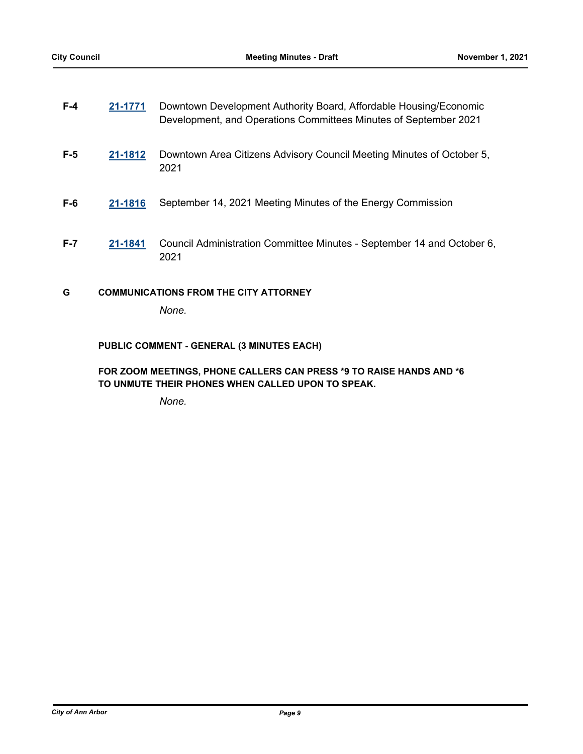| $F-4$   | 21-1771 | Downtown Development Authority Board, Affordable Housing/Economic<br>Development, and Operations Committees Minutes of September 2021 |
|---------|---------|---------------------------------------------------------------------------------------------------------------------------------------|
| $F-5$   | 21-1812 | Downtown Area Citizens Advisory Council Meeting Minutes of October 5,<br>2021                                                         |
| $F-6$   | 21-1816 | September 14, 2021 Meeting Minutes of the Energy Commission                                                                           |
| $F - 7$ | 21-1841 | Council Administration Committee Minutes - September 14 and October 6,<br>2021                                                        |
| G       |         | <b>COMMUNICATIONS FROM THE CITY ATTORNEY</b>                                                                                          |
|         |         | None.                                                                                                                                 |

## **PUBLIC COMMENT - GENERAL (3 MINUTES EACH)**

## **FOR ZOOM MEETINGS, PHONE CALLERS CAN PRESS \*9 TO RAISE HANDS AND \*6 TO UNMUTE THEIR PHONES WHEN CALLED UPON TO SPEAK.**

*None.*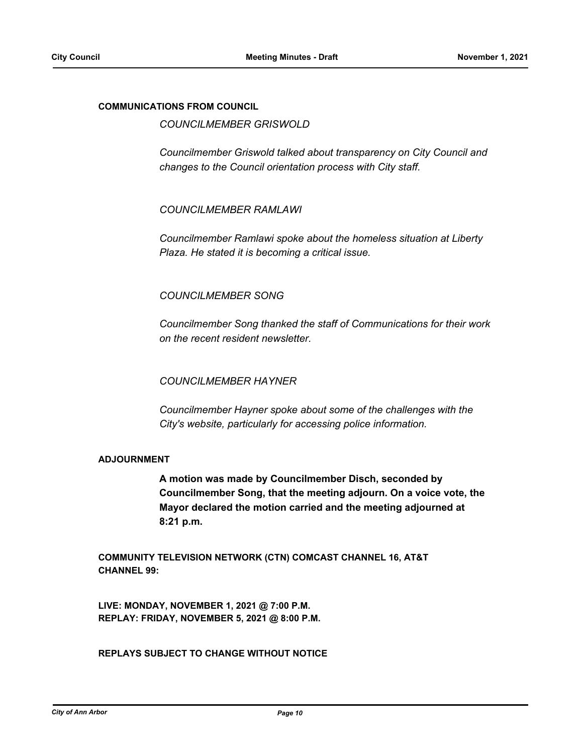## **COMMUNICATIONS FROM COUNCIL**

*COUNCILMEMBER GRISWOLD*

*Councilmember Griswold talked about transparency on City Council and changes to the Council orientation process with City staff.*

*COUNCILMEMBER RAMLAWI*

*Councilmember Ramlawi spoke about the homeless situation at Liberty Plaza. He stated it is becoming a critical issue.*

## *COUNCILMEMBER SONG*

*Councilmember Song thanked the staff of Communications for their work on the recent resident newsletter.*

## *COUNCILMEMBER HAYNER*

*Councilmember Hayner spoke about some of the challenges with the City's website, particularly for accessing police information.*

### **ADJOURNMENT**

**A motion was made by Councilmember Disch, seconded by Councilmember Song, that the meeting adjourn. On a voice vote, the Mayor declared the motion carried and the meeting adjourned at 8:21 p.m.**

**COMMUNITY TELEVISION NETWORK (CTN) COMCAST CHANNEL 16, AT&T CHANNEL 99:**

**LIVE: MONDAY, NOVEMBER 1, 2021 @ 7:00 P.M. REPLAY: FRIDAY, NOVEMBER 5, 2021 @ 8:00 P.M.**

**REPLAYS SUBJECT TO CHANGE WITHOUT NOTICE**